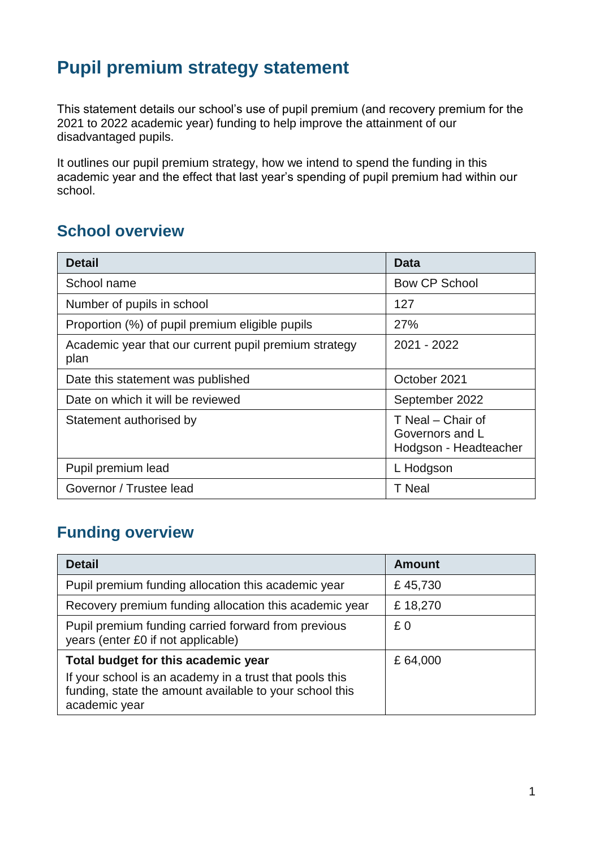# **Pupil premium strategy statement**

This statement details our school's use of pupil premium (and recovery premium for the 2021 to 2022 academic year) funding to help improve the attainment of our disadvantaged pupils.

It outlines our pupil premium strategy, how we intend to spend the funding in this academic year and the effect that last year's spending of pupil premium had within our school.

## **School overview**

| <b>Detail</b>                                                 | Data                                                          |
|---------------------------------------------------------------|---------------------------------------------------------------|
| School name                                                   | <b>Bow CP School</b>                                          |
| Number of pupils in school                                    | 127                                                           |
| Proportion (%) of pupil premium eligible pupils               | 27%                                                           |
| Academic year that our current pupil premium strategy<br>plan | 2021 - 2022                                                   |
| Date this statement was published                             | October 2021                                                  |
| Date on which it will be reviewed                             | September 2022                                                |
| Statement authorised by                                       | T Neal - Chair of<br>Governors and L<br>Hodgson - Headteacher |
| Pupil premium lead                                            | L Hodgson                                                     |
| Governor / Trustee lead                                       | T Neal                                                        |

## **Funding overview**

| <b>Detail</b>                                                                                                                                                              | <b>Amount</b> |
|----------------------------------------------------------------------------------------------------------------------------------------------------------------------------|---------------|
| Pupil premium funding allocation this academic year                                                                                                                        | £45,730       |
| Recovery premium funding allocation this academic year                                                                                                                     | £18,270       |
| Pupil premium funding carried forward from previous<br>years (enter £0 if not applicable)                                                                                  | £0            |
| Total budget for this academic year<br>If your school is an academy in a trust that pools this<br>funding, state the amount available to your school this<br>academic year | £64,000       |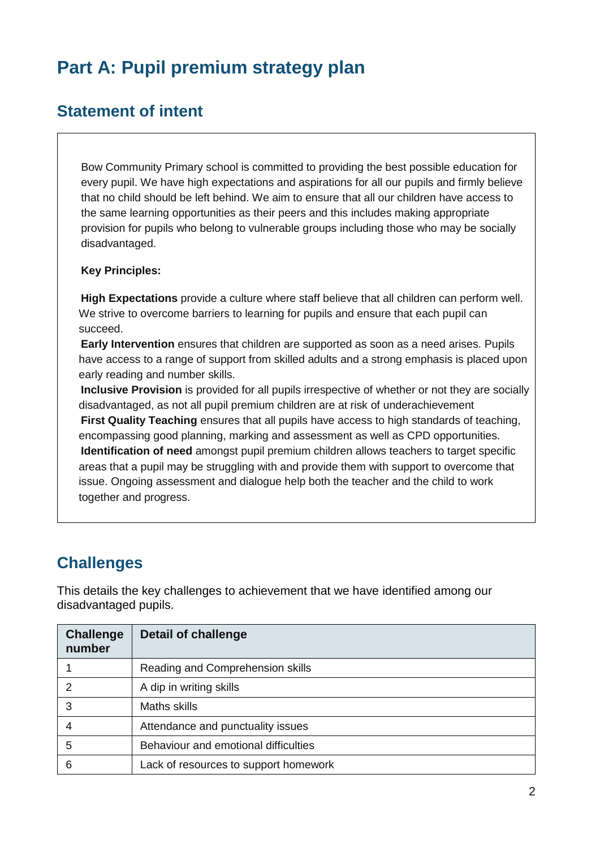# **Part A: Pupil premium strategy plan**

### **Statement of intent**

Bow Community Primary school is committed to providing the best possible education for every pupil. We have high expectations and aspirations for all our pupils and firmly believe that no child should be left behind. We aim to ensure that all our children have access to the same learning opportunities as their peers and this includes making appropriate provision for pupils who belong to vulnerable groups including those who may be socially disadvantaged.

#### **Key Principles:**

**High Expectations** provide a culture where staff believe that all children can perform well. We strive to overcome barriers to learning for pupils and ensure that each pupil can succeed.

**Early Intervention** ensures that children are supported as soon as a need arises. Pupils have access to a range of support from skilled adults and a strong emphasis is placed upon early reading and number skills.

**Inclusive Provision** is provided for all pupils irrespective of whether or not they are socially disadvantaged, as not all pupil premium children are at risk of underachievement **First Quality Teaching** ensures that all pupils have access to high standards of teaching, encompassing good planning, marking and assessment as well as CPD opportunities. **Identification of need** amongst pupil premium children allows teachers to target specific areas that a pupil may be struggling with and provide them with support to overcome that issue. Ongoing assessment and dialogue help both the teacher and the child to work together and progress.

## **Challenges**

This details the key challenges to achievement that we have identified among our disadvantaged pupils.

| <b>Challenge</b><br>number | <b>Detail of challenge</b>            |
|----------------------------|---------------------------------------|
|                            | Reading and Comprehension skills      |
| $\mathcal{P}$              | A dip in writing skills               |
| 3                          | Maths skills                          |
| 4                          | Attendance and punctuality issues     |
| 5                          | Behaviour and emotional difficulties  |
| 6                          | Lack of resources to support homework |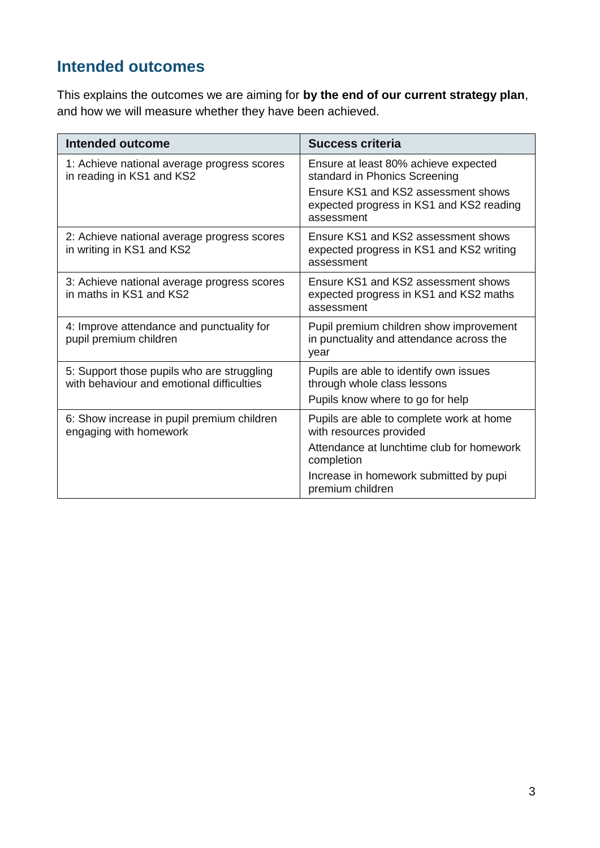## **Intended outcomes**

This explains the outcomes we are aiming for **by the end of our current strategy plan**, and how we will measure whether they have been achieved.

| Intended outcome                                                                        | <b>Success criteria</b>                                                                                                                                                |
|-----------------------------------------------------------------------------------------|------------------------------------------------------------------------------------------------------------------------------------------------------------------------|
| 1: Achieve national average progress scores<br>in reading in KS1 and KS2                | Ensure at least 80% achieve expected<br>standard in Phonics Screening<br>Ensure KS1 and KS2 assessment shows<br>expected progress in KS1 and KS2 reading<br>assessment |
| 2: Achieve national average progress scores<br>in writing in KS1 and KS2                | Ensure KS1 and KS2 assessment shows<br>expected progress in KS1 and KS2 writing<br>assessment                                                                          |
| 3: Achieve national average progress scores<br>in maths in KS1 and KS2                  | Ensure KS1 and KS2 assessment shows<br>expected progress in KS1 and KS2 maths<br>assessment                                                                            |
| 4: Improve attendance and punctuality for<br>pupil premium children                     | Pupil premium children show improvement<br>in punctuality and attendance across the<br>year                                                                            |
| 5: Support those pupils who are struggling<br>with behaviour and emotional difficulties | Pupils are able to identify own issues<br>through whole class lessons<br>Pupils know where to go for help                                                              |
| 6: Show increase in pupil premium children<br>engaging with homework                    | Pupils are able to complete work at home<br>with resources provided<br>Attendance at lunchtime club for homework                                                       |
|                                                                                         | completion<br>Increase in homework submitted by pupi<br>premium children                                                                                               |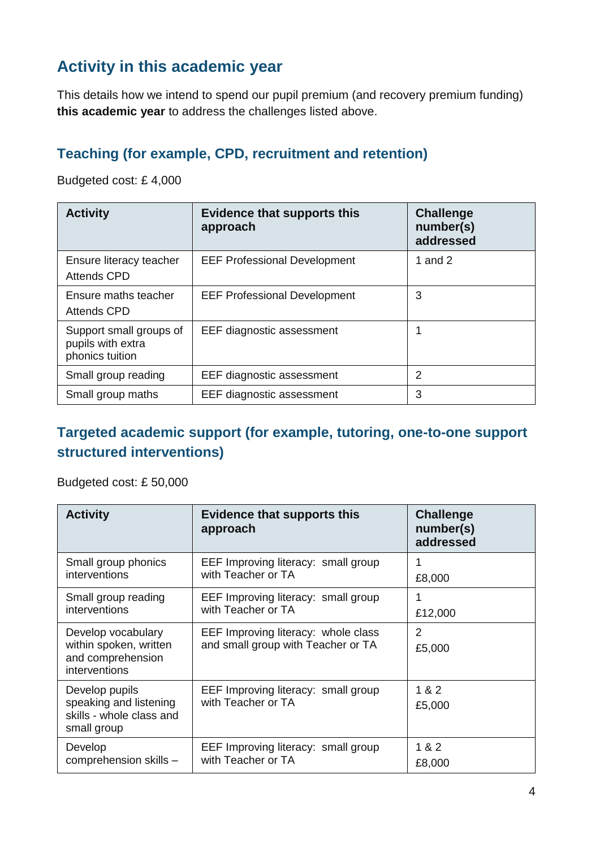## **Activity in this academic year**

This details how we intend to spend our pupil premium (and recovery premium funding) **this academic year** to address the challenges listed above.

### **Teaching (for example, CPD, recruitment and retention)**

Budgeted cost: £ 4,000

| <b>Activity</b>                                                 | <b>Evidence that supports this</b><br>approach | <b>Challenge</b><br>number(s)<br>addressed |
|-----------------------------------------------------------------|------------------------------------------------|--------------------------------------------|
| Ensure literacy teacher<br><b>Attends CPD</b>                   | <b>EEF Professional Development</b>            | 1 and 2                                    |
| Ensure maths teacher<br><b>Attends CPD</b>                      | <b>EEF Professional Development</b>            | 3                                          |
| Support small groups of<br>pupils with extra<br>phonics tuition | EEF diagnostic assessment                      | 1                                          |
| Small group reading                                             | EEF diagnostic assessment                      | 2                                          |
| Small group maths                                               | EEF diagnostic assessment                      | 3                                          |

### **Targeted academic support (for example, tutoring, one-to-one support structured interventions)**

Budgeted cost: £ 50,000

| <b>Activity</b>                                                                     | <b>Evidence that supports this</b><br>approach                            | <b>Challenge</b><br>number(s)<br>addressed |
|-------------------------------------------------------------------------------------|---------------------------------------------------------------------------|--------------------------------------------|
| Small group phonics<br>interventions                                                | EEF Improving literacy: small group<br>with Teacher or TA                 | £8,000                                     |
| Small group reading<br>interventions                                                | EEF Improving literacy: small group<br>with Teacher or TA                 | £12,000                                    |
| Develop vocabulary<br>within spoken, written<br>and comprehension<br>interventions  | EEF Improving literacy: whole class<br>and small group with Teacher or TA | $\overline{2}$<br>£5,000                   |
| Develop pupils<br>speaking and listening<br>skills - whole class and<br>small group | EEF Improving literacy: small group<br>with Teacher or TA                 | 1 & 2<br>£5,000                            |
| Develop<br>comprehension skills -                                                   | EEF Improving literacy: small group<br>with Teacher or TA                 | 1 & 2<br>£8,000                            |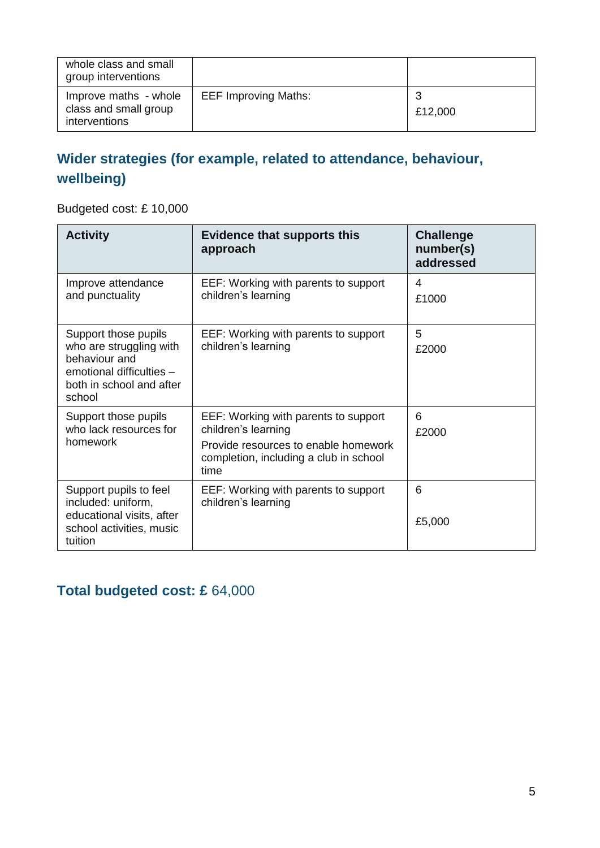| whole class and small<br>group interventions                    |                             |              |
|-----------------------------------------------------------------|-----------------------------|--------------|
| Improve maths - whole<br>class and small group<br>interventions | <b>EEF Improving Maths:</b> | 3<br>£12,000 |

### **Wider strategies (for example, related to attendance, behaviour, wellbeing)**

Budgeted cost: £ 10,000

| <b>Activity</b>                                                                                                                    | <b>Evidence that supports this</b><br>approach                                                                                                        | <b>Challenge</b><br>number(s)<br>addressed |
|------------------------------------------------------------------------------------------------------------------------------------|-------------------------------------------------------------------------------------------------------------------------------------------------------|--------------------------------------------|
| Improve attendance<br>and punctuality                                                                                              | EEF: Working with parents to support<br>children's learning                                                                                           | 4<br>£1000                                 |
| Support those pupils<br>who are struggling with<br>behaviour and<br>emotional difficulties -<br>both in school and after<br>school | EEF: Working with parents to support<br>children's learning                                                                                           | 5<br>£2000                                 |
| Support those pupils<br>who lack resources for<br>homework                                                                         | EEF: Working with parents to support<br>children's learning<br>Provide resources to enable homework<br>completion, including a club in school<br>time | 6<br>£2000                                 |
| Support pupils to feel<br>included: uniform,<br>educational visits, after<br>school activities, music<br>tuition                   | EEF: Working with parents to support<br>children's learning                                                                                           | 6<br>£5,000                                |

### **Total budgeted cost: £** 64,000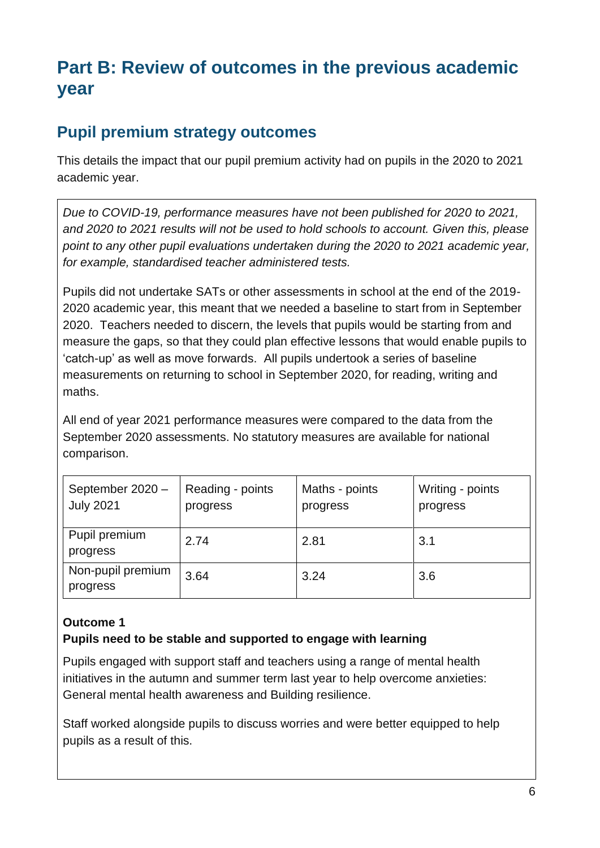# **Part B: Review of outcomes in the previous academic year**

### **Pupil premium strategy outcomes**

This details the impact that our pupil premium activity had on pupils in the 2020 to 2021 academic year.

*Due to COVID-19, performance measures have not been published for 2020 to 2021, and 2020 to 2021 results will not be used to hold schools to account. Given this, please point to any other pupil evaluations undertaken during the 2020 to 2021 academic year, for example, standardised teacher administered tests.*

Pupils did not undertake SATs or other assessments in school at the end of the 2019- 2020 academic year, this meant that we needed a baseline to start from in September 2020. Teachers needed to discern, the levels that pupils would be starting from and measure the gaps, so that they could plan effective lessons that would enable pupils to 'catch-up' as well as move forwards. All pupils undertook a series of baseline measurements on returning to school in September 2020, for reading, writing and maths.

All end of year 2021 performance measures were compared to the data from the September 2020 assessments. No statutory measures are available for national comparison.

| September 2020 -<br><b>July 2021</b> | Reading - points<br>progress | Maths - points<br>progress | Writing - points<br>progress |
|--------------------------------------|------------------------------|----------------------------|------------------------------|
| Pupil premium<br>progress            | 2.74                         | 2.81                       | 3.1                          |
| Non-pupil premium<br>progress        | 3.64                         | 3.24                       | 3.6                          |

#### **Outcome 1**

#### **Pupils need to be stable and supported to engage with learning**

Pupils engaged with support staff and teachers using a range of mental health initiatives in the autumn and summer term last year to help overcome anxieties: General mental health awareness and Building resilience.

Staff worked alongside pupils to discuss worries and were better equipped to help pupils as a result of this.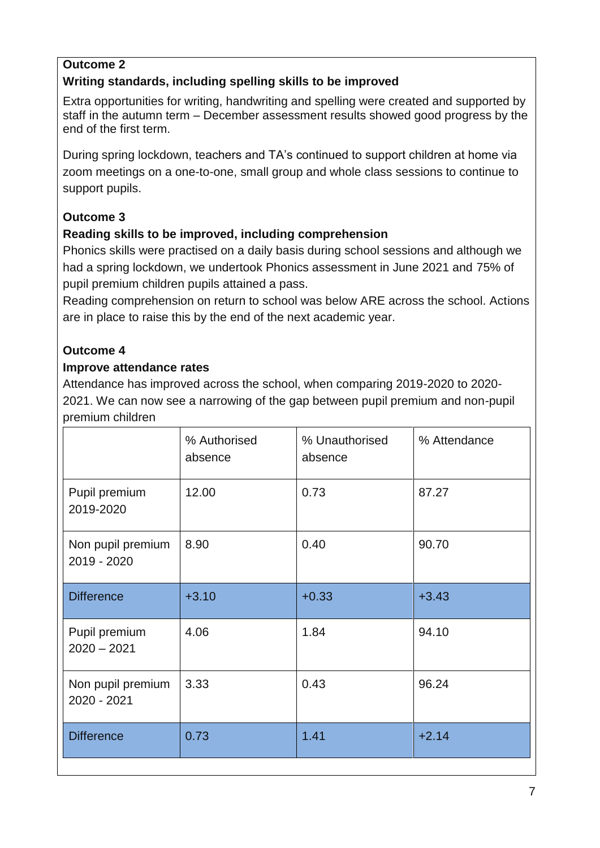#### **Outcome 2**

#### **Writing standards, including spelling skills to be improved**

Extra opportunities for writing, handwriting and spelling were created and supported by staff in the autumn term – December assessment results showed good progress by the end of the first term.

During spring lockdown, teachers and TA's continued to support children at home via zoom meetings on a one-to-one, small group and whole class sessions to continue to support pupils.

#### **Outcome 3**

#### **Reading skills to be improved, including comprehension**

Phonics skills were practised on a daily basis during school sessions and although we had a spring lockdown, we undertook Phonics assessment in June 2021 and 75% of pupil premium children pupils attained a pass.

Reading comprehension on return to school was below ARE across the school. Actions are in place to raise this by the end of the next academic year.

#### **Outcome 4**

#### **Improve attendance rates**

Attendance has improved across the school, when comparing 2019-2020 to 2020- 2021. We can now see a narrowing of the gap between pupil premium and non-pupil premium children

|                                  | % Authorised<br>absence | % Unauthorised<br>absence | % Attendance |
|----------------------------------|-------------------------|---------------------------|--------------|
| Pupil premium<br>2019-2020       | 12.00                   | 0.73                      | 87.27        |
| Non pupil premium<br>2019 - 2020 | 8.90                    | 0.40                      | 90.70        |
| <b>Difference</b>                | $+3.10$                 | $+0.33$                   | $+3.43$      |
| Pupil premium<br>$2020 - 2021$   | 4.06                    | 1.84                      | 94.10        |
| Non pupil premium<br>2020 - 2021 | 3.33                    | 0.43                      | 96.24        |
| <b>Difference</b>                | 0.73                    | 1.41                      | $+2.14$      |